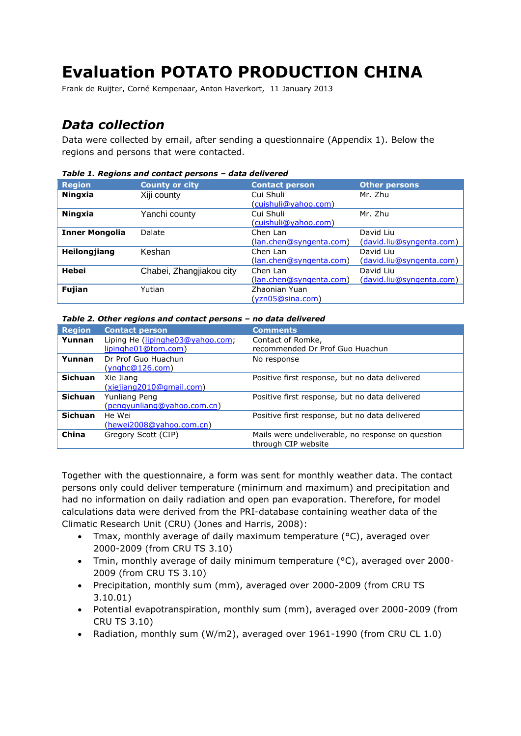# **Evaluation POTATO PRODUCTION CHINA**

Frank de Ruijter, Corné Kempenaar, Anton Haverkort, 11 January 2013

# *Data collection*

Data were collected by email, after sending a questionnaire (Appendix 1). Below the regions and persons that were contacted.

| <b>Region</b>         | <b>County or city</b>    | <b>Contact person</b>               | <b>Other persons</b>                  |
|-----------------------|--------------------------|-------------------------------------|---------------------------------------|
| <b>Ningxia</b>        | Xiji county              | Cui Shuli<br>(cuishuli@yahoo.com)   | Mr. Zhu                               |
| <b>Ningxia</b>        | Yanchi county            | Cui Shuli<br>(cuishuli@yahoo.com)   | Mr. Zhu                               |
| <b>Inner Mongolia</b> | Dalate                   | Chen Lan<br>(lan.chen@syngenta.com) | David Liu<br>(david.liu@syngenta.com) |
| Heilongjiang          | Keshan                   | Chen Lan<br>(lan.chen@syngenta.com) | David Liu<br>(david.liu@syngenta.com) |
| Hebei                 | Chabei, Zhangjiakou city | Chen Lan<br>(lan.chen@syngenta.com) | David Liu<br>(david.liu@syngenta.com) |
| Fujian                | Yutian                   | Zhaonian Yuan<br>(yzn05@sina.com)   |                                       |

#### *Table 1. Regions and contact persons – data delivered*

#### *Table 2. Other regions and contact persons – no data delivered*

| <b>Region</b>  | <b>Contact person</b>                                   | <b>Comments</b>                                                          |
|----------------|---------------------------------------------------------|--------------------------------------------------------------------------|
| Yunnan         | Liping He (lipinghe03@yahoo.com;<br>lipinghe01@tom.com) | Contact of Romke,<br>recommended Dr Prof Guo Huachun                     |
| Yunnan         | Dr Prof Guo Huachun<br>$(\text{ynghc@126.com})$         | No response                                                              |
| <b>Sichuan</b> | Xie Jiang<br>(xiejiang2010@gmail.com)                   | Positive first response, but no data delivered                           |
| <b>Sichuan</b> | Yunliang Peng<br>(pengyunliang@yahoo.com.cn)            | Positive first response, but no data delivered                           |
| <b>Sichuan</b> | He Wei<br>(hewei2008@yahoo.com.cn)                      | Positive first response, but no data delivered                           |
| China          | Gregory Scott (CIP)                                     | Mails were undeliverable, no response on question<br>through CIP website |

Together with the questionnaire, a form was sent for monthly weather data. The contact persons only could deliver temperature (minimum and maximum) and precipitation and had no information on daily radiation and open pan evaporation. Therefore, for model calculations data were derived from the PRI-database containing weather data of the Climatic Research Unit (CRU) (Jones and Harris, 2008):

- Tmax, monthly average of daily maximum temperature (°C), averaged over 2000-2009 (from CRU TS 3.10)
- Tmin, monthly average of daily minimum temperature (°C), averaged over 2000- 2009 (from CRU TS 3.10)
- Precipitation, monthly sum (mm), averaged over 2000-2009 (from CRU TS 3.10.01)
- Potential evapotranspiration, monthly sum (mm), averaged over 2000-2009 (from CRU TS 3.10)
- Radiation, monthly sum (W/m2), averaged over 1961-1990 (from CRU CL 1.0)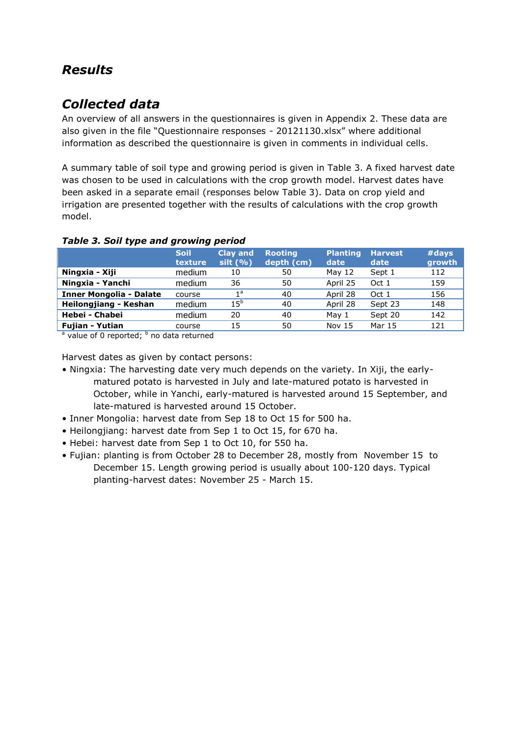## *Results*

# *Collected data*

An overview of all answers in the questionnaires is given in Appendix 2. These data are also given in the file "Questionnaire responses - 20121130.xlsx" where additional information as described the questionnaire is given in comments in individual cells.

A summary table of soil type and growing period is given in Table 3. A fixed harvest date was chosen to be used in calculations with the crop growth model. Harvest dates have been asked in a separate email (responses below Table 3). Data on crop yield and irrigation are presented together with the results of calculations with the crop growth model.

| . .                                                   |                        |                             |                              |                         |                        |                 |
|-------------------------------------------------------|------------------------|-----------------------------|------------------------------|-------------------------|------------------------|-----------------|
|                                                       | <b>Soil</b><br>texture | <b>Clay and</b><br>silt( %) | <b>Rooting</b><br>depth (cm) | <b>Planting</b><br>date | <b>Harvest</b><br>date | #days<br>growth |
| Ningxia - Xiji                                        | medium                 | 10                          | 50                           | May $12$                | Sept 1                 | 112             |
| Ningxia - Yanchi                                      | medium                 | 36                          | 50                           | April 25                | Oct 1                  | 159             |
| <b>Inner Mongolia - Dalate</b>                        | course                 | 1a                          | 40                           | April 28                | Oct 1                  | 156             |
| Heilongjiang - Keshan                                 | medium                 | 15 <sup>b</sup>             | 40                           | April 28                | Sept 23                | 148             |
| Hebei - Chabei                                        | medium                 | 20                          | 40                           | May 1                   | Sept 20                | 142             |
| <b>Fujian - Yutian</b>                                | course                 | 15                          | 50                           | <b>Nov 15</b>           | Mar 15                 | 121             |
| h<br>$\overline{a}$ , $\overline{a}$ , $\overline{a}$ | .                      |                             |                              |                         |                        |                 |

### *Table 3. Soil type and growing period*

<sup>a</sup> value of 0 reported; <sup>b</sup> no data returned

Harvest dates as given by contact persons:

- Ningxia: The harvesting date very much depends on the variety. In Xiji, the earlymatured potato is harvested in July and late-matured potato is harvested in October, while in Yanchi, early-matured is harvested around 15 September, and late-matured is harvested around 15 October.
- Inner Mongolia: harvest date from Sep 18 to Oct 15 for 500 ha.
- Heilongjiang: harvest date from Sep 1 to Oct 15, for 670 ha.
- Hebei: harvest date from Sep 1 to Oct 10, for 550 ha.
- Fujian: planting is from October 28 to December 28, mostly from November 15 to December 15. Length growing period is usually about 100-120 days. Typical planting-harvest dates: November 25 - March 15.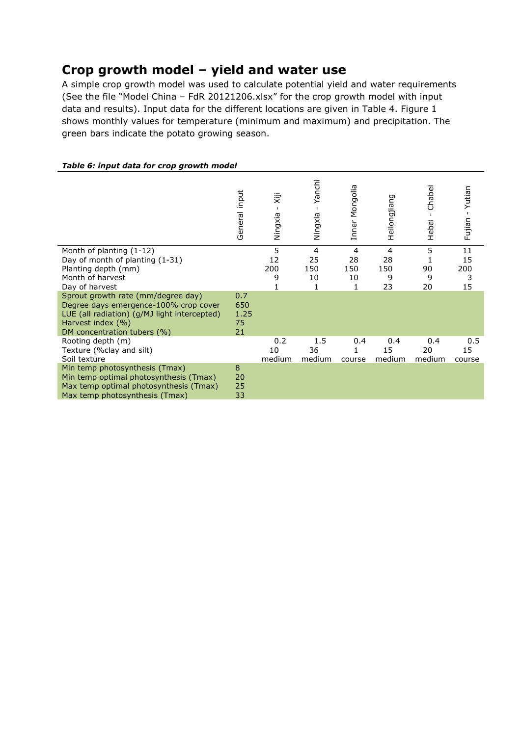### **Crop growth model – yield and water use**

A simple crop growth model was used to calculate potential yield and water requirements (See the file "Model China – FdR 20121206.xlsx" for the crop growth model with input data and results). Input data for the different locations are given in Table 4. Figure 1 shows monthly values for temperature (minimum and maximum) and precipitation. The green bars indicate the potato growing season.

|                                                                                                                                                                                 | General input                  | Xiji<br>Ningxia | Yanchi<br>Ningxia | Inner Mongolia | Heilongjiang | Chabei<br>Hebei | Yutian<br>Fujian |
|---------------------------------------------------------------------------------------------------------------------------------------------------------------------------------|--------------------------------|-----------------|-------------------|----------------|--------------|-----------------|------------------|
| Month of planting $(1-12)$                                                                                                                                                      |                                | 5               | 4                 | 4              | 4            | 5               | 11               |
| Day of month of planting (1-31)                                                                                                                                                 |                                | 12              | 25                | 28             | 28           |                 | 15               |
| Planting depth (mm)                                                                                                                                                             |                                | 200             | 150               | 150            | 150          | 90              | 200              |
| Month of harvest                                                                                                                                                                |                                | 9               | 10                | 10             | 9            | 9               | 3                |
| Day of harvest                                                                                                                                                                  |                                |                 |                   |                | 23           | 20              | 15               |
| Sprout growth rate (mm/degree day)<br>Degree days emergence-100% crop cover<br>LUE (all radiation) (g/MJ light intercepted)<br>Harvest index (%)<br>DM concentration tubers (%) | 0.7<br>650<br>1.25<br>75<br>21 |                 |                   |                |              |                 |                  |
| Rooting depth (m)                                                                                                                                                               |                                | 0.2             | 1.5               | 0.4            | 0.4          | 0.4             | 0.5              |
| Texture (%clay and silt)                                                                                                                                                        |                                | 10              | 36                |                | 15           | 20              | 15               |
| Soil texture                                                                                                                                                                    |                                | medium          | medium            | course         | medium       | medium          | course           |
| Min temp photosynthesis (Tmax)<br>Min temp optimal photosynthesis (Tmax)<br>Max temp optimal photosynthesis (Tmax)<br>Max temp photosynthesis (Tmax)                            | 8<br>20<br>25<br>33            |                 |                   |                |              |                 |                  |

#### *Table 6: input data for crop growth model*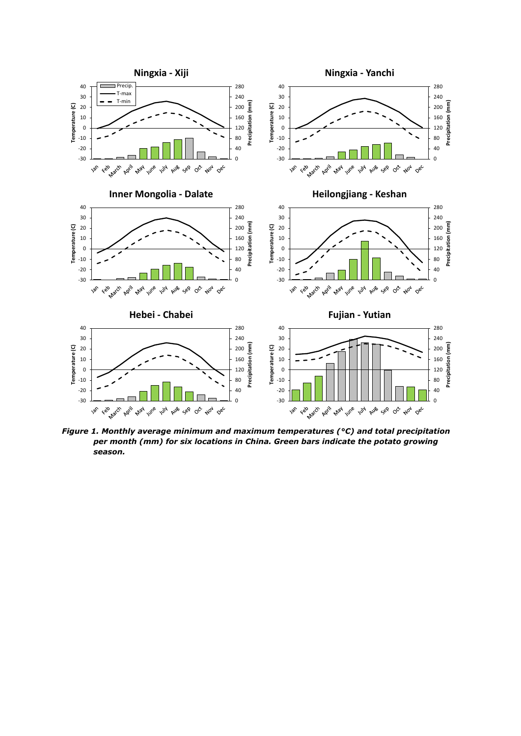

*Figure 1. Monthly average minimum and maximum temperatures (°C) and total precipitation per month (mm) for six locations in China. Green bars indicate the potato growing season.*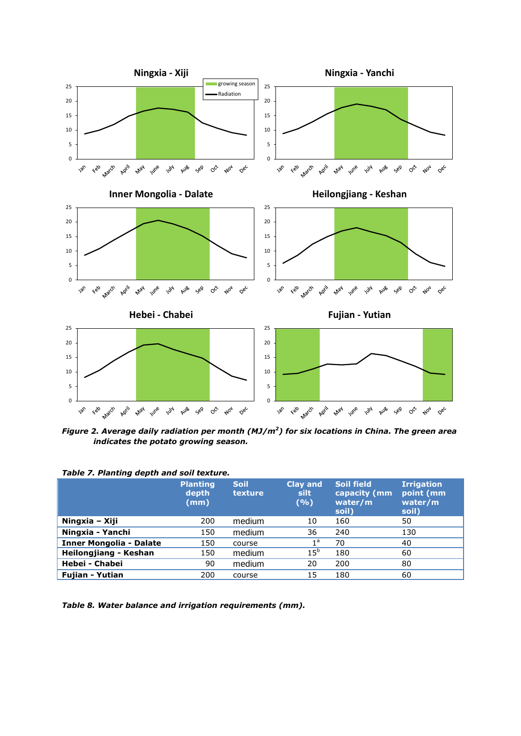

*Figure 2. Average daily radiation per month (MJ/m<sup>2</sup> ) for six locations in China. The green area indicates the potato growing season.*

| rable 7. Flanting depth and son texture. |                                  |                        |                                   |                                                       |                                                    |  |  |
|------------------------------------------|----------------------------------|------------------------|-----------------------------------|-------------------------------------------------------|----------------------------------------------------|--|--|
|                                          | <b>Planting</b><br>depth<br>(mm) | <b>Soil</b><br>texture | <b>Clay and</b><br>silt.<br>(9/6) | <b>Soil field</b><br>capacity (mm<br>water/m<br>soil) | <b>Irrigation</b><br>point (mm<br>water/m<br>soil) |  |  |
| Ningxia - Xiji                           | 200                              | medium                 | 10                                | 160                                                   | 50                                                 |  |  |
| Ningxia - Yanchi                         | 150                              | medium                 | 36                                | 240                                                   | 130                                                |  |  |
| <b>Inner Mongolia - Dalate</b>           | 150                              | course                 | 1 <sup>a</sup>                    | 70                                                    | 40                                                 |  |  |
| Heilongjiang - Keshan                    | 150                              | medium                 | $15^{\circ}$                      | 180                                                   | 60                                                 |  |  |
| Hebei - Chabei                           | 90                               | medium                 | 20                                | 200                                                   | 80                                                 |  |  |
| <b>Fujian - Yutian</b>                   | 200                              | course                 | 15                                | 180                                                   | 60                                                 |  |  |

*Table 7. Planting depth and soil texture.*

*Table 8. Water balance and irrigation requirements (mm).*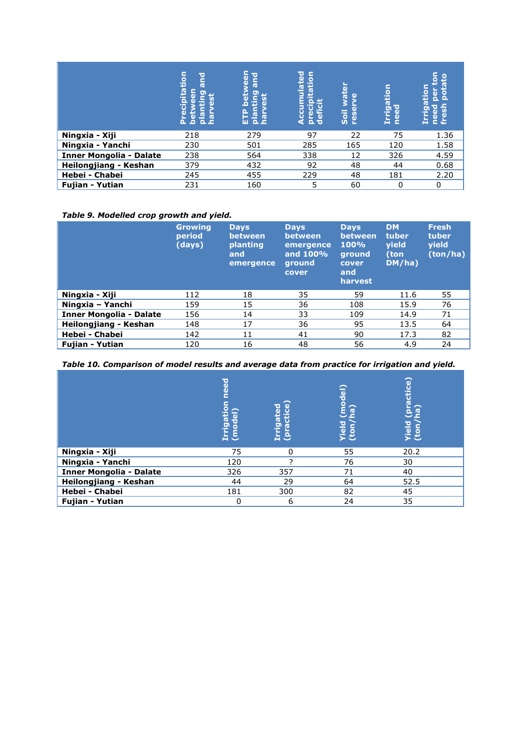|                                | itation<br><b>Dure</b><br>5<br>ת<br>$\Omega$<br><b>The Contract of Street</b><br>$\mathbf{d}$<br>Δ.<br>$\Omega$<br>ە | een<br><b>bure</b><br>ה פ<br>Б<br>n<br>nia<br>Enl<br>ш | ᄝ<br>c<br>ei<br>lat<br>₽<br>Б<br>œ<br>n<br>ö<br>P <sub>2</sub><br>ں<br>قا<br>Ō<br>$\alpha$ $\bar{\sigma}$<br>đ | ត<br>ğ<br>$\omega$<br>Soil<br><b>res</b> | <b>Irrigation</b><br>need | $\overline{5}$<br>٥<br>e<br>tion<br>ō<br>O<br>ĂΔ<br>ō<br>ᄝ<br>ō<br>3<br>Ē<br>Ō<br>Æ<br>貞<br>Ĕ |
|--------------------------------|----------------------------------------------------------------------------------------------------------------------|--------------------------------------------------------|----------------------------------------------------------------------------------------------------------------|------------------------------------------|---------------------------|-----------------------------------------------------------------------------------------------|
| Ningxia - Xiji                 | 218                                                                                                                  | 279                                                    | 97                                                                                                             | 22                                       | 75                        | 1.36                                                                                          |
| Ningxia - Yanchi               | 230                                                                                                                  | 501                                                    | 285                                                                                                            | 165                                      | 120                       | 1.58                                                                                          |
| <b>Inner Mongolia - Dalate</b> | 238                                                                                                                  | 564                                                    | 338                                                                                                            | 12                                       | 326                       | 4.59                                                                                          |
| Heilongjiang - Keshan          | 379                                                                                                                  | 432                                                    | 92                                                                                                             | 48                                       | 44                        | 0.68                                                                                          |
| Hebei - Chabei                 | 245                                                                                                                  | 455                                                    | 229                                                                                                            | 48                                       | 181                       | 2.20                                                                                          |
| Yutian<br>Fujian -             | 231                                                                                                                  | 160                                                    | 5                                                                                                              | 60                                       |                           | 0                                                                                             |

#### *Table 9. Modelled crop growth and yield.*

|                                | <b>Growing</b><br>period<br>(days) | <b>Days</b><br><b>between</b><br>planting<br>and<br>emergence | <b>Days</b><br><b>between</b><br>emergence<br>and 100%<br>ground<br>cover | <b>Days</b><br>between<br>100%<br>ground<br>cover<br>and<br>harvest | <b>DM</b><br>tuber<br>vield<br>(ton<br>DM/ha) | <b>Fresh</b><br>tuber<br>vield<br>(ton/ha) |
|--------------------------------|------------------------------------|---------------------------------------------------------------|---------------------------------------------------------------------------|---------------------------------------------------------------------|-----------------------------------------------|--------------------------------------------|
| Ningxia - Xiji                 | 112                                | 18                                                            | 35                                                                        | 59                                                                  | 11.6                                          | 55                                         |
| Ningxia - Yanchi               | 159                                | 15                                                            | 36                                                                        | 108                                                                 | 15.9                                          | 76                                         |
| <b>Inner Mongolia - Dalate</b> | 156                                | 14                                                            | 33                                                                        | 109                                                                 | 14.9                                          | 71                                         |
| Heilongjiang - Keshan          | 148                                | 17                                                            | 36                                                                        | 95                                                                  | 13.5                                          | 64                                         |
| Hebei - Chabei                 | 142                                | 11                                                            | 41                                                                        | 90                                                                  | 17.3                                          | 82                                         |
| <b>Fujian - Yutian</b>         | 120                                | 16                                                            | 48                                                                        | 56                                                                  | 4.9                                           | 24                                         |

*Table 10. Comparison of model results and average data from practice for irrigation and yield.*

|                                | <b>Dae</b><br>o<br>$\epsilon$<br>E<br>Ĩ0<br>٣,<br>Irrig<br>(moc | ctice)<br>꾕<br><b>Irrigate</b><br>(practio | model)<br><b>G</b><br>/rield<br>(ton/ | (practice)<br>(cq<br>/ield<br>(ton/ |  |
|--------------------------------|-----------------------------------------------------------------|--------------------------------------------|---------------------------------------|-------------------------------------|--|
| Ningxia - Xiji                 | 75                                                              |                                            | 55                                    | 20.2                                |  |
| Ningxia - Yanchi               | 120                                                             |                                            | 76                                    | 30                                  |  |
| <b>Inner Mongolia - Dalate</b> | 326                                                             | 357                                        | 71                                    | 40                                  |  |
| Heilongjiang - Keshan          | 44                                                              | 29                                         | 64                                    | 52.5                                |  |
| Hebei - Chabei                 | 181                                                             | 300                                        | 82                                    | 45                                  |  |
| Fujian - Yutian                | 0                                                               | 6                                          | 24                                    | 35                                  |  |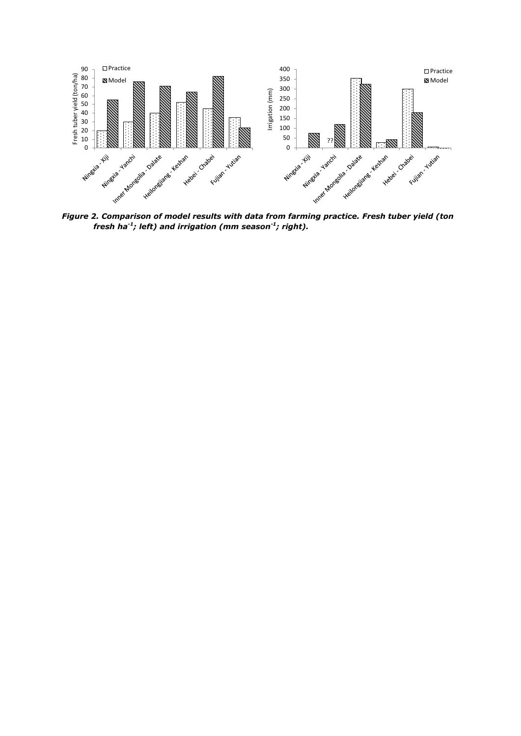

*fresh ha-1 ; left) and irrigation (mm season-1 ; right).*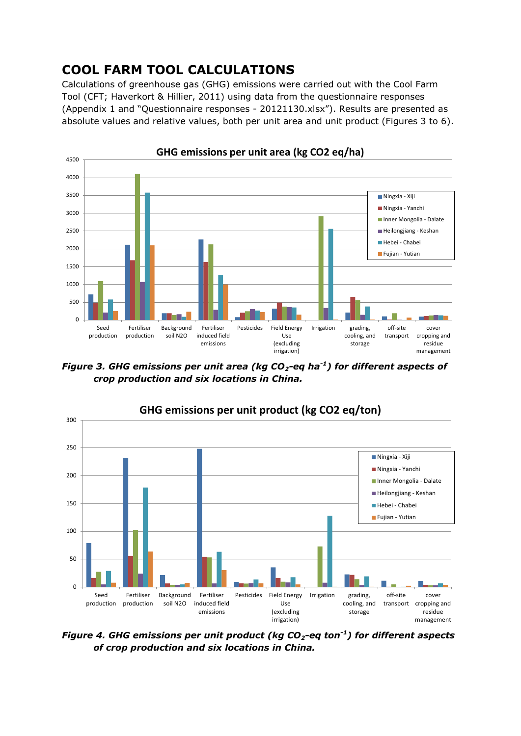# **COOL FARM TOOL CALCULATIONS**

Calculations of greenhouse gas (GHG) emissions were carried out with the Cool Farm Tool (CFT; Haverkort & Hillier, 2011) using data from the questionnaire responses (Appendix 1 and "Questionnaire responses - 20121130.xlsx"). Results are presented as absolute values and relative values, both per unit area and unit product (Figures 3 to 6).



*Figure 3. GHG emissions per unit area (kg CO2-eq ha-1 ) for different aspects of crop production and six locations in China.* 



*Figure 4. GHG emissions per unit product (kg CO2-eq ton-1 ) for different aspects of crop production and six locations in China.*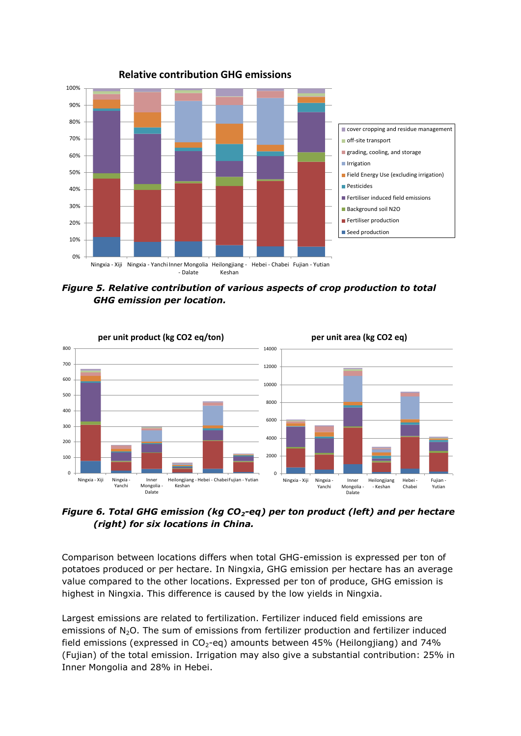

**Relative contribution GHG emissions**

*Figure 5. Relative contribution of various aspects of crop production to total GHG emission per location.* 



*Figure 6. Total GHG emission (kg CO2-eq) per ton product (left) and per hectare (right) for six locations in China.* 

Comparison between locations differs when total GHG-emission is expressed per ton of potatoes produced or per hectare. In Ningxia, GHG emission per hectare has an average value compared to the other locations. Expressed per ton of produce, GHG emission is highest in Ningxia. This difference is caused by the low yields in Ningxia.

Largest emissions are related to fertilization. Fertilizer induced field emissions are emissions of  $N_2O$ . The sum of emissions from fertilizer production and fertilizer induced field emissions (expressed in  $CO<sub>2</sub>$ -eq) amounts between 45% (Heilongjiang) and 74% (Fujian) of the total emission. Irrigation may also give a substantial contribution: 25% in Inner Mongolia and 28% in Hebei.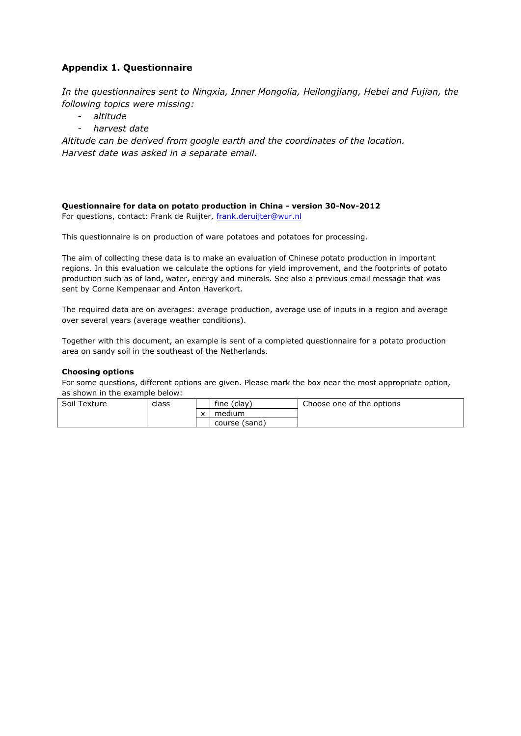### **Appendix 1. Questionnaire**

*In the questionnaires sent to Ningxia, Inner Mongolia, Heilongjiang, Hebei and Fujian, the following topics were missing:*

- *altitude*
- *harvest date*

*Altitude can be derived from google earth and the coordinates of the location. Harvest date was asked in a separate email.* 

**Questionnaire for data on potato production in China - version 30-Nov-2012** For questions, contact: Frank de Ruijter, [frank.deruijter@wur.nl](mailto:frank.deruijter@wur.nl)

This questionnaire is on production of ware potatoes and potatoes for processing.

The aim of collecting these data is to make an evaluation of Chinese potato production in important regions. In this evaluation we calculate the options for yield improvement, and the footprints of potato production such as of land, water, energy and minerals. See also a previous email message that was sent by Corne Kempenaar and Anton Haverkort.

The required data are on averages: average production, average use of inputs in a region and average over several years (average weather conditions).

Together with this document, an example is sent of a completed questionnaire for a potato production area on sandy soil in the southeast of the Netherlands.

#### **Choosing options**

For some questions, different options are given. Please mark the box near the most appropriate option, as shown in the example below:

| Soil Texture | class |                   | fine<br>(clav | Choose one of the options |
|--------------|-------|-------------------|---------------|---------------------------|
|              |       | $\checkmark$<br>́ | medium        |                           |
|              |       |                   | course (sand) |                           |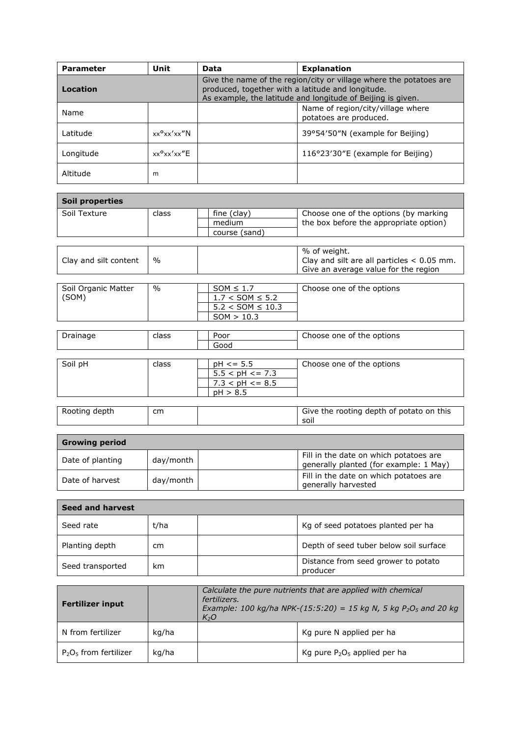| <b>Parameter</b> | Unit                    | <b>Data</b>                                                                                                                                                                            | <b>Explanation</b>                                          |
|------------------|-------------------------|----------------------------------------------------------------------------------------------------------------------------------------------------------------------------------------|-------------------------------------------------------------|
| Location         |                         | Give the name of the region/city or village where the potatoes are<br>produced, together with a latitude and longitude.<br>As example, the latitude and longitude of Beijing is given. |                                                             |
| Name             |                         |                                                                                                                                                                                        | Name of region/city/village where<br>potatoes are produced. |
| Latitude         | xx <sup>o</sup> xx'xx"N |                                                                                                                                                                                        | 39°54'50"N (example for Beijing)                            |
| Longitude        | xx <sup>o</sup> xx'xx"F |                                                                                                                                                                                        | 116°23'30"E (example for Beijing)                           |
| Altitude         | m                       |                                                                                                                                                                                        |                                                             |

| <b>Soil properties</b> |               |                         |                                              |  |  |  |
|------------------------|---------------|-------------------------|----------------------------------------------|--|--|--|
| Soil Texture           | class         | fine (clay)             | Choose one of the options (by marking        |  |  |  |
|                        |               | medium                  | the box before the appropriate option)       |  |  |  |
|                        |               | course (sand)           |                                              |  |  |  |
|                        |               |                         |                                              |  |  |  |
|                        |               |                         | % of weight.                                 |  |  |  |
| Clay and silt content  | $\frac{0}{0}$ |                         | Clay and silt are all particles $< 0.05$ mm. |  |  |  |
|                        |               |                         | Give an average value for the region         |  |  |  |
|                        |               |                         |                                              |  |  |  |
| Soil Organic Matter    | $\frac{0}{0}$ | $SOM \leq 1.7$          | Choose one of the options                    |  |  |  |
| (SOM)                  |               | $1.7 <$ SOM $\leq 5.2$  |                                              |  |  |  |
|                        |               | $5.2 <$ SOM $\leq 10.3$ |                                              |  |  |  |

|               |       | $5.2 <$ SOM $\leq 10.3$ |                                          |
|---------------|-------|-------------------------|------------------------------------------|
|               |       | SOM > 10.3              |                                          |
|               |       |                         |                                          |
| Drainage      | class | Poor                    | Choose one of the options                |
|               |       | Good                    |                                          |
|               |       |                         |                                          |
| Soil pH       | class | $pH \le 5.5$            | Choose one of the options                |
|               |       | $5.5 < pH < = 7.3$      |                                          |
|               |       | $7.3 < pH < = 8.5$      |                                          |
|               |       | pH > 8.5                |                                          |
|               |       |                         |                                          |
| Rooting depth | cm    |                         | Give the rooting depth of potato on this |

| <b>Growing period</b> |           |  |                                                                                  |
|-----------------------|-----------|--|----------------------------------------------------------------------------------|
| Date of planting      | day/month |  | Fill in the date on which potatoes are<br>generally planted (for example: 1 May) |
| Date of harvest       | day/month |  | Fill in the date on which potatoes are<br>generally harvested                    |

soil

| Seed and harvest |      |  |                                                 |
|------------------|------|--|-------------------------------------------------|
| Seed rate        | t/ha |  | Kg of seed potatoes planted per ha              |
| Planting depth   | cm   |  | Depth of seed tuber below soil surface          |
| Seed transported | km   |  | Distance from seed grower to potato<br>producer |

| <b>Fertilizer input</b>  |       | Calculate the pure nutrients that are applied with chemical<br>fertilizers.<br>Example: 100 kg/ha NPK-(15:5:20) = 15 kg N, 5 kg $P_2O_5$ and 20 kg<br>$K_2O$ |                                 |
|--------------------------|-------|--------------------------------------------------------------------------------------------------------------------------------------------------------------|---------------------------------|
| N from fertilizer        | kg/ha |                                                                                                                                                              | Kg pure N applied per ha        |
| $P_2O_5$ from fertilizer | kg/ha |                                                                                                                                                              | Kg pure $P_2O_5$ applied per ha |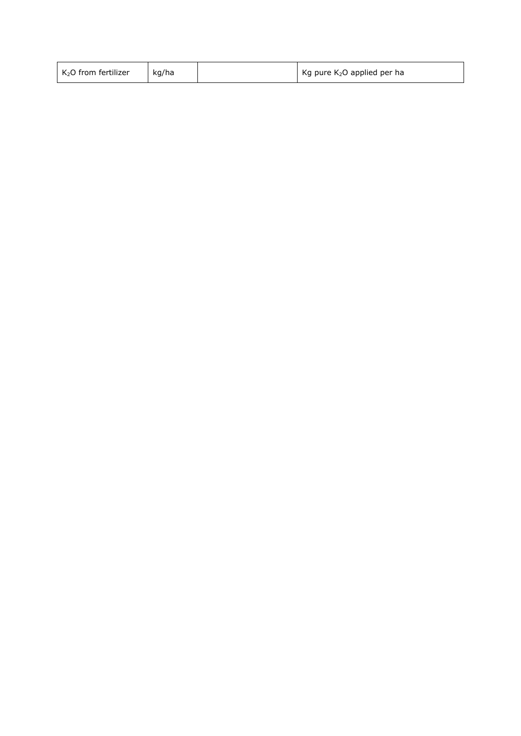| $K2O$ from fertilizer | kg/ha |  | Kg pure $K_2O$ applied per ha |
|-----------------------|-------|--|-------------------------------|
|-----------------------|-------|--|-------------------------------|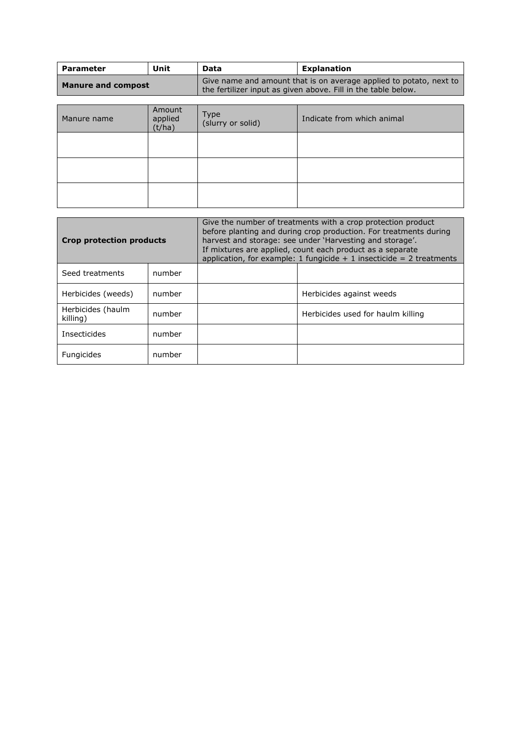| <b>Parameter</b>          | Unit | Data | <b>Explanation</b>                                                                                                                  |
|---------------------------|------|------|-------------------------------------------------------------------------------------------------------------------------------------|
| <b>Manure and compost</b> |      |      | Give name and amount that is on average applied to potato, next to<br>the fertilizer input as given above. Fill in the table below. |

| Manure name | Amount<br>applied<br>(t/ha) | Type<br>(slurry or solid) | Indicate from which animal |
|-------------|-----------------------------|---------------------------|----------------------------|
|             |                             |                           |                            |
|             |                             |                           |                            |
|             |                             |                           |                            |

| <b>Crop protection products</b> |        | Give the number of treatments with a crop protection product<br>before planting and during crop production. For treatments during<br>harvest and storage: see under 'Harvesting and storage'.<br>If mixtures are applied, count each product as a separate<br>application, for example: 1 fungicide $+$ 1 insecticide $=$ 2 treatments |                                   |
|---------------------------------|--------|----------------------------------------------------------------------------------------------------------------------------------------------------------------------------------------------------------------------------------------------------------------------------------------------------------------------------------------|-----------------------------------|
| Seed treatments                 | number |                                                                                                                                                                                                                                                                                                                                        |                                   |
| Herbicides (weeds)              | number |                                                                                                                                                                                                                                                                                                                                        | Herbicides against weeds          |
| Herbicides (haulm<br>killing)   | number |                                                                                                                                                                                                                                                                                                                                        | Herbicides used for haulm killing |
| <b>Insecticides</b>             | number |                                                                                                                                                                                                                                                                                                                                        |                                   |
| Fungicides                      | number |                                                                                                                                                                                                                                                                                                                                        |                                   |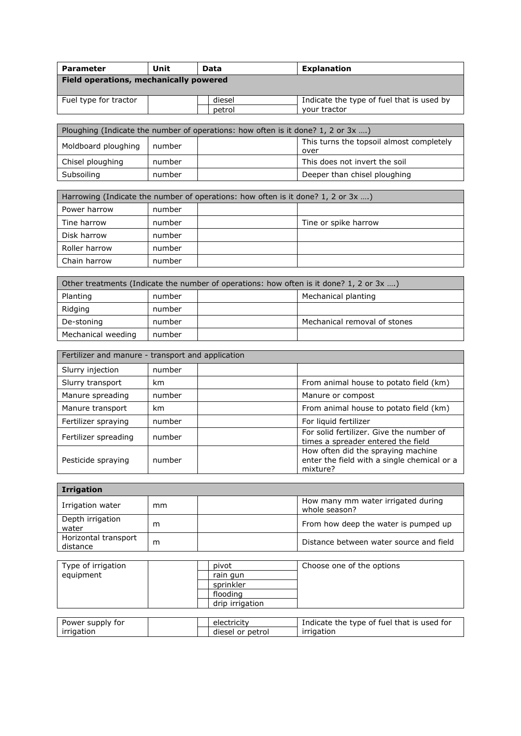| <b>Parameter</b>                                                                 | Unit   | Data             | <b>Explanation</b>                                        |  |
|----------------------------------------------------------------------------------|--------|------------------|-----------------------------------------------------------|--|
| Field operations, mechanically powered                                           |        |                  |                                                           |  |
| Fuel type for tractor                                                            |        | diesel<br>petrol | Indicate the type of fuel that is used by<br>your tractor |  |
| Ploughing (Indicate the number of operations: how often is it done? 1, 2 or 3x ) |        |                  |                                                           |  |
| Moldboard ploughing                                                              | number |                  | This turns the topsoil almost completely<br>over          |  |
| Chisel ploughing                                                                 | number |                  | This does not invert the soil                             |  |

| Harrowing (Indicate the number of operations: how often is it done? 1, 2 or $3x$ ) |        |  |                      |
|------------------------------------------------------------------------------------|--------|--|----------------------|
| Power harrow                                                                       | number |  |                      |
| Tine harrow                                                                        | number |  | Tine or spike harrow |
| Disk harrow                                                                        | number |  |                      |
| Roller harrow                                                                      | number |  |                      |
| Chain harrow                                                                       | number |  |                      |

Subsoiling | number | Deeper than chisel ploughing

| Other treatments (Indicate the number of operations: how often is it done? 1, 2 or 3x ) |        |  |                              |
|-----------------------------------------------------------------------------------------|--------|--|------------------------------|
| Planting                                                                                | number |  | Mechanical planting          |
| Ridging                                                                                 | number |  |                              |
| De-stoning                                                                              | number |  | Mechanical removal of stones |
| Mechanical weeding                                                                      | number |  |                              |

| Fertilizer and manure - transport and application |        |  |                                                                                               |
|---------------------------------------------------|--------|--|-----------------------------------------------------------------------------------------------|
| Slurry injection                                  | number |  |                                                                                               |
| Slurry transport                                  | km     |  | From animal house to potato field (km)                                                        |
| Manure spreading                                  | number |  | Manure or compost                                                                             |
| Manure transport                                  | km     |  | From animal house to potato field (km)                                                        |
| Fertilizer spraying                               | number |  | For liquid fertilizer                                                                         |
| Fertilizer spreading                              | number |  | For solid fertilizer. Give the number of<br>times a spreader entered the field                |
| Pesticide spraying                                | number |  | How often did the spraying machine<br>enter the field with a single chemical or a<br>mixture? |

| <b>Irrigation</b>                |    |                                                     |
|----------------------------------|----|-----------------------------------------------------|
| Irrigation water                 | mm | How many mm water irrigated during<br>whole season? |
| Depth irrigation<br>water        | m  | From how deep the water is pumped up                |
| Horizontal transport<br>distance | m  | Distance between water source and field             |

| Type of irrigation | pivot           | Choose one of the options |
|--------------------|-----------------|---------------------------|
| equipment          | rain gun        |                           |
|                    | sprinkler       |                           |
|                    | flooding        |                           |
|                    | drip irrigation |                           |
|                    |                 |                           |

| Power supply for | electricity      | Indicate the type of fuel that is used for |
|------------------|------------------|--------------------------------------------|
| irrigation       | diesel or petrol | irrigation                                 |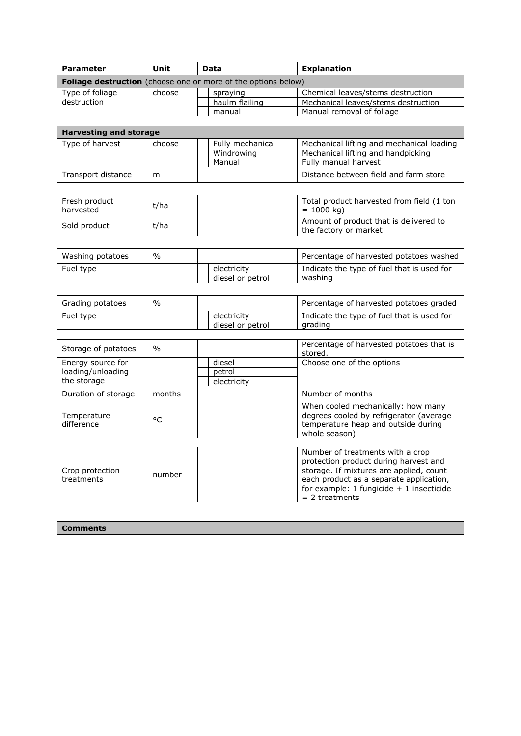| <b>Parameter</b>          | Unit | Data                                                                 | <b>Explanation</b>                  |  |
|---------------------------|------|----------------------------------------------------------------------|-------------------------------------|--|
|                           |      | <b>Foliage destruction</b> (choose one or more of the options below) |                                     |  |
| Type of foliage<br>choose |      | spraying                                                             | Chemical leaves/stems destruction   |  |
| destruction               |      |                                                                      | Mechanical leaves/stems destruction |  |
|                           |      | manual                                                               | Manual removal of foliage           |  |

| <b>Harvesting and storage</b> |        |                  |                                           |  |  |  |  |
|-------------------------------|--------|------------------|-------------------------------------------|--|--|--|--|
| Type of harvest               | choose | Fully mechanical | Mechanical lifting and mechanical loading |  |  |  |  |
|                               |        | Windrowing       | Mechanical lifting and handpicking        |  |  |  |  |
|                               |        | Manual           | Fully manual harvest                      |  |  |  |  |
| Transport distance            | m      |                  | Distance between field and farm store     |  |  |  |  |

| Fresh product<br>harvested | t/ha | Total product harvested from field (1 ton<br>$= 1000$ kg)       |
|----------------------------|------|-----------------------------------------------------------------|
| Sold product               | t/ha | Amount of product that is delivered to<br>the factory or market |

| Washing potatoes | % |                  | Percentage of harvested potatoes washed    |
|------------------|---|------------------|--------------------------------------------|
| Fuel type        |   | electricity      | Indicate the type of fuel that is used for |
|                  |   | diesel or petrol | washing                                    |

| Grading potatoes | % |                  | Percentage of harvested potatoes graded    |
|------------------|---|------------------|--------------------------------------------|
| Fuel type        |   | electricity      | Indicate the type of fuel that is used for |
|                  |   | diesel or petrol | grading                                    |

| Storage of potatoes                                   | $\frac{0}{0}$ |                                 | Percentage of harvested potatoes that is<br>stored.                                                                                   |
|-------------------------------------------------------|---------------|---------------------------------|---------------------------------------------------------------------------------------------------------------------------------------|
| Energy source for<br>loading/unloading<br>the storage |               | diesel<br>petrol<br>electricity | Choose one of the options                                                                                                             |
| Duration of storage                                   | months        |                                 | Number of months                                                                                                                      |
| Temperature<br>difference                             | °C            |                                 | When cooled mechanically: how many<br>degrees cooled by refrigerator (average<br>temperature heap and outside during<br>whole season) |
|                                                       |               |                                 |                                                                                                                                       |
|                                                       |               |                                 | Number of treatments with a crop                                                                                                      |

| Crop protection<br>treatments | number | <b>NUMBER OF GEGUILERS WILL A CLOD</b><br>protection product during harvest and<br>storage. If mixtures are applied, count<br>each product as a separate application,<br>for example: 1 fungicide $+$ 1 insecticide<br>$= 2$ treatments |
|-------------------------------|--------|-----------------------------------------------------------------------------------------------------------------------------------------------------------------------------------------------------------------------------------------|
|-------------------------------|--------|-----------------------------------------------------------------------------------------------------------------------------------------------------------------------------------------------------------------------------------------|

| <b>Comments</b> |  |  |  |
|-----------------|--|--|--|
|                 |  |  |  |
|                 |  |  |  |
|                 |  |  |  |
|                 |  |  |  |
|                 |  |  |  |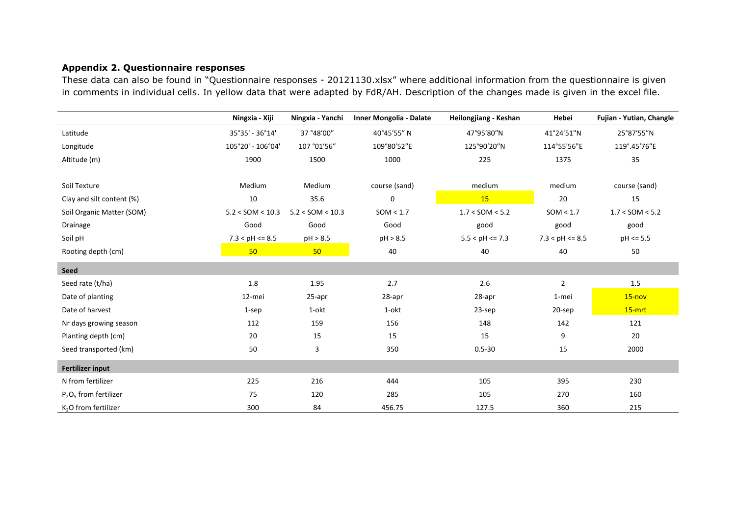### **Appendix 2. Questionnaire responses**

These data can also be found in "Questionnaire responses - 20121130.xlsx" where additional information from the questionnaire is given in comments in individual cells. In yellow data that were adapted by FdR/AH. Description of the changes made is given in the excel file.

|                                  | Ningxia - Xiji       | Ningxia - Yanchi     | <b>Inner Mongolia - Dalate</b> | Heilongjiang - Keshan | Hebei               | Fujian - Yutian, Changle |
|----------------------------------|----------------------|----------------------|--------------------------------|-----------------------|---------------------|--------------------------|
| Latitude                         | 35°35' - 36°14'      | 37 °48'00"           | 40°45'55" N                    | 47°95'80"N            | 41°24'51"N          | 25°87'55"N               |
| Longitude                        | 105°20' - 106°04'    | 107 °01'56"          | 109°80'52"E                    | 125°90'20"N           | 114°55'56"E         | 119°.45'76"E             |
| Altitude (m)                     | 1900                 | 1500                 | 1000                           | 225                   | 1375                | 35                       |
|                                  |                      |                      |                                |                       |                     |                          |
| Soil Texture                     | Medium               | Medium               | course (sand)                  | medium                | medium              | course (sand)            |
| Clay and silt content (%)        | 10                   | 35.6                 | 0                              | 15                    | 20                  | 15                       |
| Soil Organic Matter (SOM)        | $5.2 <$ SOM $<$ 10.3 | $5.2 <$ SOM $<$ 10.3 | SOM < 1.7                      | $1.7 <$ SOM $<$ 5.2   | SOM < 1.7           | $1.7 <$ SOM $<$ 5.2      |
| Drainage                         | Good                 | Good                 | Good                           | good                  | good                | good                     |
| Soil pH                          | $7.3 < pH \le 8.5$   | pH > 8.5             | pH > 8.5                       | $5.5 < pH \le 7.3$    | $7.3 < pH \leq 8.5$ | $pH \le 5.5$             |
| Rooting depth (cm)               | 50                   | 50                   | 40                             | 40                    | 40                  | 50                       |
| <b>Seed</b>                      |                      |                      |                                |                       |                     |                          |
| Seed rate (t/ha)                 | 1.8                  | 1.95                 | 2.7                            | 2.6                   | $\overline{2}$      | 1.5                      |
| Date of planting                 | 12-mei               | 25-apr               | 28-apr                         | 28-apr                | 1-mei               | $15 - nov$               |
| Date of harvest                  | 1-sep                | 1-okt                | 1-okt                          | 23-sep                | 20-sep              | $15-mrt$                 |
| Nr days growing season           | 112                  | 159                  | 156                            | 148                   | 142                 | 121                      |
| Planting depth (cm)              | 20                   | 15                   | 15                             | 15                    | 9                   | 20                       |
| Seed transported (km)            | 50                   | 3                    | 350                            | $0.5 - 30$            | 15                  | 2000                     |
| Fertilizer input                 |                      |                      |                                |                       |                     |                          |
| N from fertilizer                | 225                  | 216                  | 444                            | 105                   | 395                 | 230                      |
| $P_2O_5$ from fertilizer         | 75                   | 120                  | 285                            | 105                   | 270                 | 160                      |
| K <sub>2</sub> O from fertilizer | 300                  | 84                   | 456.75                         | 127.5                 | 360                 | 215                      |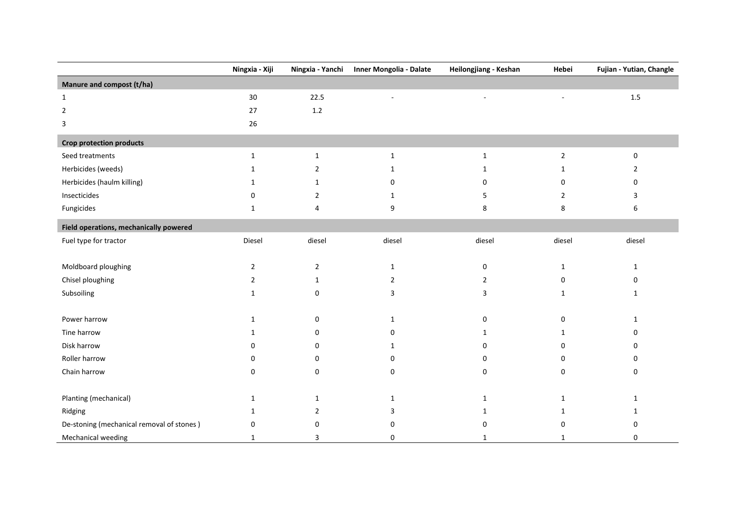|                                           | Ningxia - Xiji | Ningxia - Yanchi | Inner Mongolia - Dalate  | Heilongjiang - Keshan | Hebei          | Fujian - Yutian, Changle |
|-------------------------------------------|----------------|------------------|--------------------------|-----------------------|----------------|--------------------------|
| Manure and compost (t/ha)                 |                |                  |                          |                       |                |                          |
| $\mathbf{1}$                              | 30             | 22.5             | $\overline{\phantom{a}}$ | $\blacksquare$        | $\sim$         | 1.5                      |
| $\overline{2}$                            | 27             | 1.2              |                          |                       |                |                          |
| 3                                         | 26             |                  |                          |                       |                |                          |
| <b>Crop protection products</b>           |                |                  |                          |                       |                |                          |
| Seed treatments                           | $\mathbf{1}$   | $\mathbf{1}$     | $\mathbf{1}$             | $\mathbf{1}$          | $\overline{2}$ | 0                        |
| Herbicides (weeds)                        | $\mathbf{1}$   | $\overline{2}$   | 1                        | $\mathbf{1}$          | 1              | $\overline{2}$           |
| Herbicides (haulm killing)                | 1              | $\mathbf{1}$     | 0                        | $\mathbf 0$           | $\Omega$       | 0                        |
| Insecticides                              | 0              | $\overline{2}$   | 1                        | 5                     | 2              | 3                        |
| Fungicides                                | $\mathbf{1}$   | 4                | 9                        | 8                     | 8              | 6                        |
| Field operations, mechanically powered    |                |                  |                          |                       |                |                          |
| Fuel type for tractor                     | Diesel         | diesel           | diesel                   | diesel                | diesel         | diesel                   |
|                                           |                |                  |                          |                       |                |                          |
| Moldboard ploughing                       | $\overline{2}$ | $\overline{2}$   | $\mathbf{1}$             | 0                     | $\mathbf{1}$   | $\mathbf{1}$             |
| Chisel ploughing                          | $\overline{2}$ | $\mathbf{1}$     | $\overline{2}$           | $\overline{2}$        | 0              | 0                        |
| Subsoiling                                | $\mathbf{1}$   | 0                | 3                        | 3                     | 1              | $\mathbf{1}$             |
|                                           |                |                  |                          |                       |                |                          |
| Power harrow                              | 1              | 0                | $\mathbf{1}$             | 0                     | $\mathbf{0}$   | $\mathbf{1}$             |
| Tine harrow                               | 1              | 0                | 0                        | $\mathbf{1}$          | 1              | $\mathbf 0$              |
| Disk harrow                               | $\Omega$       | 0                | 1                        | $\mathbf 0$           | $\Omega$       | $\mathbf 0$              |
| Roller harrow                             | 0              | 0                | 0                        | 0                     | 0              | 0                        |
| Chain harrow                              | 0              | $\pmb{0}$        | $\pmb{0}$                | 0                     | 0              | $\boldsymbol{0}$         |
|                                           |                |                  |                          |                       |                |                          |
| Planting (mechanical)                     | $\mathbf{1}$   | $\mathbf{1}$     | $\mathbf{1}$             | $\mathbf{1}$          | 1              | $\mathbf{1}$             |
| Ridging                                   | 1              | $\overline{2}$   | 3                        | $\mathbf{1}$          | 1              | $\mathbf{1}$             |
| De-stoning (mechanical removal of stones) | $\Omega$       | 0                | 0                        | 0                     | 0              | 0                        |
| Mechanical weeding                        | 1              | 3                | $\mathbf 0$              |                       | 1              | $\mathbf 0$              |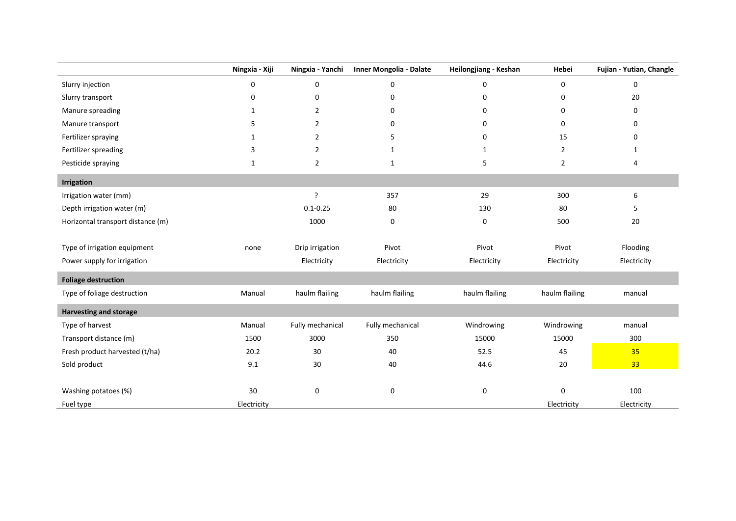|                                   | Ningxia - Xiji | Ningxia - Yanchi         | Inner Mongolia - Dalate | Heilongjiang - Keshan | Hebei          | Fujian - Yutian, Changle |
|-----------------------------------|----------------|--------------------------|-------------------------|-----------------------|----------------|--------------------------|
| Slurry injection                  | 0              | $\mathbf 0$              | 0                       | $\mathbf 0$           | $\mathbf 0$    | $\mathbf 0$              |
| Slurry transport                  | 0              | 0                        | 0                       | $\mathbf 0$           | 0              | 20                       |
| Manure spreading                  | $\mathbf{1}$   | $\overline{2}$           | 0                       | 0                     | 0              | $\mathbf 0$              |
| Manure transport                  | 5              | $\overline{2}$           | 0                       | $\Omega$              | $\Omega$       | $\mathbf 0$              |
| Fertilizer spraying               | $\mathbf{1}$   | $\overline{2}$           | 5                       | $\Omega$              | 15             | $\Omega$                 |
| Fertilizer spreading              | 3              | $\overline{2}$           | $\mathbf{1}$            | $\mathbf{1}$          | $\overline{2}$ | 1                        |
| Pesticide spraying                | $\mathbf{1}$   | $\overline{2}$           | $\mathbf{1}$            | 5                     | $\overline{2}$ | 4                        |
| <b>Irrigation</b>                 |                |                          |                         |                       |                |                          |
| Irrigation water (mm)             |                | $\overline{\phantom{a}}$ | 357                     | 29                    | 300            | 6                        |
| Depth irrigation water (m)        |                | $0.1 - 0.25$             | 80                      | 130                   | 80             | 5                        |
| Horizontal transport distance (m) |                | 1000                     | $\pmb{0}$               | $\mathbf 0$           | 500            | 20                       |
|                                   |                |                          |                         |                       |                |                          |
| Type of irrigation equipment      | none           | Drip irrigation          | Pivot                   | Pivot                 | Pivot          | Flooding                 |
| Power supply for irrigation       |                | Electricity              | Electricity             | Electricity           | Electricity    | Electricity              |
| <b>Foliage destruction</b>        |                |                          |                         |                       |                |                          |
| Type of foliage destruction       | Manual         | haulm flailing           | haulm flailing          | haulm flailing        | haulm flailing | manual                   |
| <b>Harvesting and storage</b>     |                |                          |                         |                       |                |                          |
| Type of harvest                   | Manual         | Fully mechanical         | Fully mechanical        | Windrowing            | Windrowing     | manual                   |
| Transport distance (m)            | 1500           | 3000                     | 350                     | 15000                 | 15000          | 300                      |
| Fresh product harvested (t/ha)    | 20.2           | 30                       | 40                      | 52.5                  | 45             | 35                       |
| Sold product                      | 9.1            | 30                       | 40                      | 44.6                  | 20             | 33                       |
|                                   |                |                          |                         |                       |                |                          |
| Washing potatoes (%)              | 30             | $\mathbf 0$              | 0                       | 0                     | $\mathbf 0$    | 100                      |
| Fuel type                         | Electricity    |                          |                         |                       | Electricity    | Electricity              |